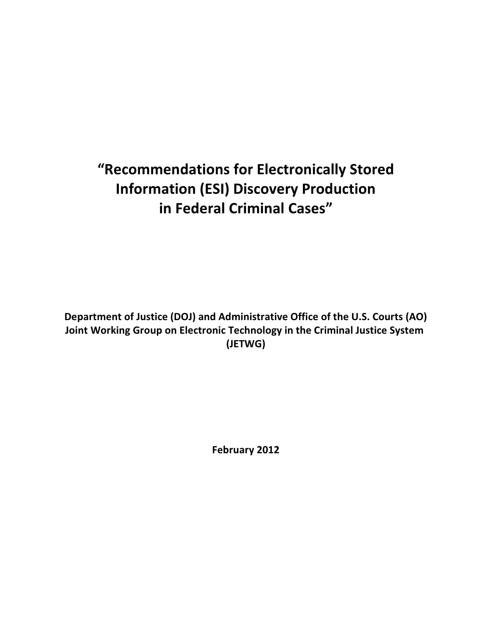# **"Recommendations for Electronically Stored Information (ESI) Discovery Production in Federal Criminal Cases"**

**Department of Justice (DOJ) and Administrative Office of the U.S. Courts (AO) Joint Working Group on Electronic Technology in the Criminal Justice System (JETWG)**

**February 2012**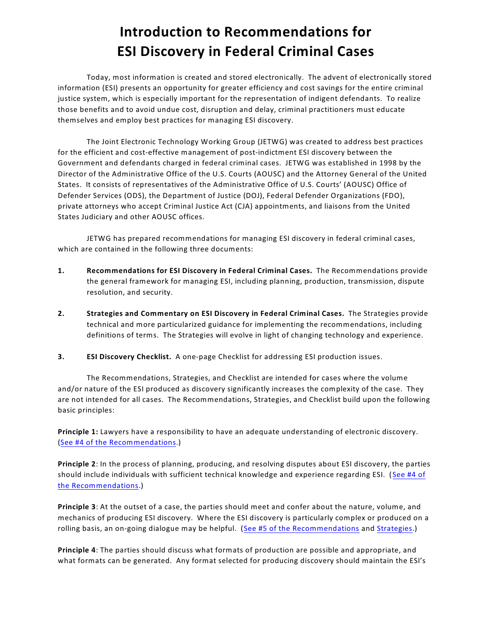## **Introduction to Recommendations for ESI Discovery in Federal Criminal Cases**

Today, most information is created and stored electronically. The advent of electronically stored information (ESI) presents an opportunity for greater efficiency and cost savings for the entire criminal justice system, which is especially important for the representation of indigent defendants. To realize those benefits and to avoid undue cost, disruption and delay, criminal practitioners must educate themselves and employ best practices for managing ESI discovery.

The Joint Electronic Technology Working Group (JETWG) was created to address best practices for the efficient and cost-effective management of post-indictment ESI discovery between the Government and defendants charged in federal criminal cases. JETWG was established in 1998 by the Director of the Administrative Office of the U.S. Courts (AOUSC) and the Attorney General of the United States. It consists of representatives of the Administrative Office of U.S. Courts' (AOUSC) Office of Defender Services (ODS), the Department of Justice (DOJ), Federal Defender Organizations (FDO), private attorneys who accept Criminal Justice Act (CJA) appointments, and liaisons from the United States Judiciary and other AOUSC offices.

JETWG has prepared recommendations for managing ESI discovery in federal criminal cases, which are contained in the following three documents:

- **1. Recommendations for ESI Discovery in Federal Criminal Cases.** The Recommendations provide the general framework for managing ESI, including planning, production, transmission, dispute resolution, and security.
- **2. Strategies and Commentary on ESI Discovery in Federal Criminal Cases.** The Strategies provide technical and more particularized guidance for implementing the recommendations, including definitions of terms. The Strategies will evolve in light of changing technology and experience.
- **3. ESI Discovery Checklist.** A one-page Checklist for addressing ESI production issues.

The Recommendations, Strategies, and Checklist are intended for cases where the volume and/or nature of the ESI produced as discovery significantly increases the complexity of the case. They are not intended for all cases. The Recommendations, Strategies, and Checklist build upon the following basic principles:

**Principle 1:** Lawyers have a responsibility to have an adequate understanding of electronic discovery. [\(See #4 of the Recommendations](#page-21-0).)

**Principle 2**: In the process of planning, producing, and resolving disputes about ESI discovery, the parties should include individuals with sufficient technical knowledge and experience regarding ESI. ( [See #4 of](#page-21-0) [the Recommendations](#page-21-0).)

**Principle 3**: At the outset of a case, the parties should meet and confer about the nature, volume, and mechanics of producing ESI discovery. Where the ESI discovery is particularly complex or produced on a rolling basis, an on-going dialogue may be helpful. ([See #5 of the Recommendations](#page-21-0) and [Strategies](#page-21-0).)

**Principle 4**: The parties should discuss what formats of production are possible and appropriate, and what formats can be generated. Any format selected for producing discovery should maintain the ESI's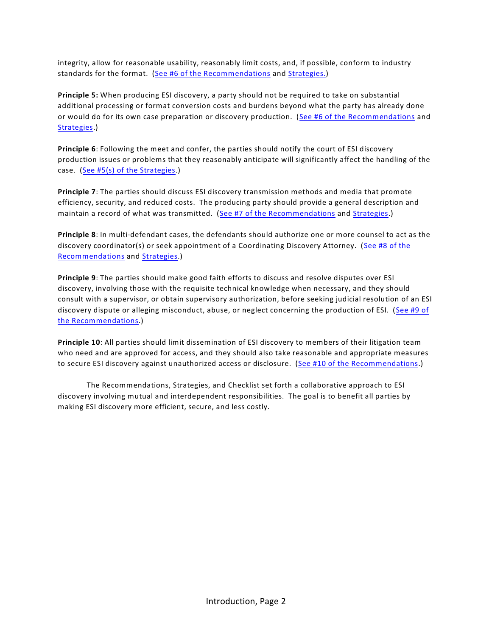integrity, allow for reasonable usability, reasonably limit costs, and, if possible, conform to industry standards for the format. [\(See #6 of the Recommendations](#page-21-0) and [Strategies.](#page-21-0))

**Principle 5:** When producing ESI discovery, a party should not be required to take on substantial additional processing or format conversion costs and burdens beyond what the party has already done or would do for its own case preparation or discovery production. [\(See #6 of the Recommendations](#page-21-0) and [Strategies](#page-21-0).)

**Principle 6**: Following the meet and confer, the parties should notify the court of ESI discovery production issues or problems that they reasonably anticipate will significantly affect the handling of the case. [\(See #5\(s\) of the Strategies](#page-21-0).)

**Principle 7**: The parties should discuss ESI discovery transmission methods and media that promote efficiency, security, and reduced costs. The producing party should provide a general description and maintain a record of what was transmitted. ([See #7 of the Recommendations](#page-21-0) and [Strategies](#page-21-0).)

**Principle 8**: In multi-defendant cases, the defendants should authorize one or more counsel to act as the discovery coordinator(s) or seek appointment of a Coordinating Discovery Attorney. ([See #8 of the](#page-21-0) [Recommendations](#page-21-0) and [Strategies](#page-21-0).)

**Principle 9**: The parties should make good faith efforts to discuss and resolve disputes over ESI discovery, involving those with the requisite technical knowledge when necessary, and they should consult with a supervisor, or obtain supervisory authorization, before seeking judicial resolution of an ESI discovery dispute or alleging misconduct, abuse, or neglect concerning the production of ESI. [\(See #9 of](#page-21-0) [the Recommendations](#page-21-0).)

**Principle 10**: All parties should limit dissemination of ESI discovery to members of their litigation team who need and are approved for access, and they should also take reasonable and appropriate measures to secure ESI discovery against unauthorized access or disclosure. ([See #10 of the Recommendations](#page-21-0).)

The Recommendations, Strategies, and Checklist set forth a collaborative approach to ESI discovery involving mutual and interdependent responsibilities. The goal is to benefit all parties by making ESI discovery more efficient, secure, and less costly.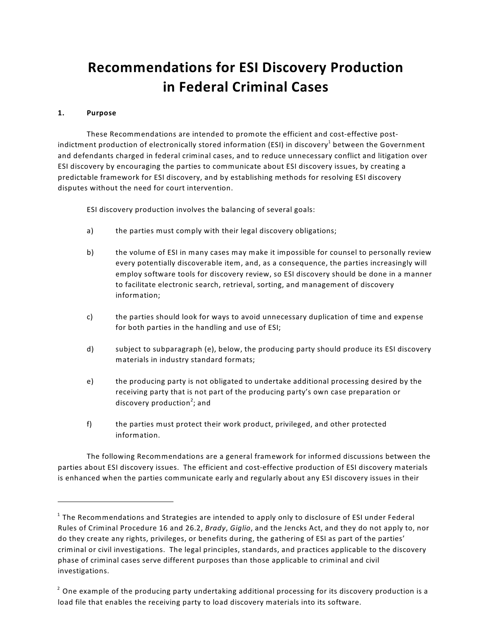## **Recommendations for ESI Discovery Production in Federal Criminal Cases**

#### **1. Purpose**

These Recommendations are intended to promote the efficient and cost-effective postindictment production of electronically stored information (ESI) in discovery<sup>1</sup> between the Government and defendants charged in federal criminal cases, and to reduce unnecessary conflict and litigation over ESI discovery by encouraging the parties to communicate about ESI discovery issues, by creating a predictable framework for ESI discovery, and by establishing methods for resolving ESI discovery disputes without the need for court intervention.

ESI discovery production involves the balancing of several goals:

- a) the parties must comply with their legal discovery obligations;
- b) the volume of ESI in many cases may make it impossible for counsel to personally review every potentially discoverable item, and, as a consequence, the parties increasingly will employ software tools for discovery review, so ESI discovery should be done in a manner to facilitate electronic search, retrieval, sorting, and management of discovery information;
- c) the parties should look for ways to avoid unnecessary duplication of time and expense for both parties in the handling and use of ESI;
- d) subject to subparagraph (e), below, the producing party should produce its ESI discovery materials in industry standard formats;
- e) the producing party is not obligated to undertake additional processing desired by the receiving party that is not part of the producing party's own case preparation or discovery production<sup>2</sup>; and
- f) the parties must protect their work product, privileged, and other protected information.

The following Recommendations are a general framework for informed discussions between the parties about ESI discovery issues. The efficient and cost-effective production of ESI discovery materials is enhanced when the parties communicate early and regularly about any ESI discovery issues in their

 $1$  The Recommendations and Strategies are intended to apply only to disclosure of ESI under Federal Rules of Criminal Procedure 16 and 26.2, *Brady*, *Giglio*, and the Jencks Act, and they do not apply to, nor do they create any rights, privileges, or benefits during, the gathering of ESI as part of the parties' criminal or civil investigations. The legal principles, standards, and practices applicable to the discovery phase of criminal cases serve different purposes than those applicable to criminal and civil investigations.

 $<sup>2</sup>$  One example of the producing party undertaking additional processing for its discovery production is a</sup> load file that enables the receiving party to load discovery materials into its software.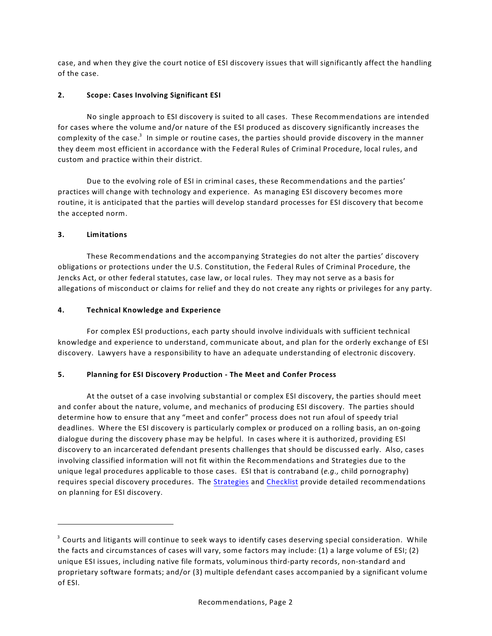case, and when they give the court notice of ESI discovery issues that will significantly affect the handling of the case.

## **2. Scope: Cases Involving Significant ESI**

No single approach to ESI discovery is suited to all cases. These Recommendations are intended for cases where the volume and/or nature of the ESI produced as discovery significantly increases the complexity of the case.<sup>3</sup> In simple or routine cases, the parties should provide discovery in the manner they deem most efficient in accordance with the Federal Rules of Criminal Procedure, local rules, and custom and practice within their district.

Due to the evolving role of ESI in criminal cases, these Recommendations and the parties' practices will change with technology and experience. As managing ESI discovery becomes more routine, it is anticipated that the parties will develop standard processes for ESI discovery that become the accepted norm.

## **3. Limitations**

These Recommendations and the accompanying Strategies do not alter the parties' discovery obligations or protections under the U.S. Constitution, the Federal Rules of Criminal Procedure, the Jencks Act, or other federal statutes, case law, or local rules. They may not serve as a basis for allegations of misconduct or claims for relief and they do not create any rights or privileges for any party.

## **4. Technical Knowledge and Experience**

For complex ESI productions, each party should involve individuals with sufficient technical knowledge and experience to understand, communicate about, and plan for the orderly exchange of ESI discovery. Lawyers have a responsibility to have an adequate understanding of electronic discovery.

## **5. Planning for ESI Discovery Production - The Meet and Confer Process**

At the outset of a case involving substantial or complex ESI discovery, the parties should meet and confer about the nature, volume, and mechanics of producing ESI discovery. The parties should determine how to ensure that any "meet and confer" process does not run afoul of speedy trial deadlines. Where the ESI discovery is particularly complex or produced on a rolling basis, an on-going dialogue during the discovery phase may be helpful. In cases where it is authorized, providing ESI discovery to an incarcerated defendant presents challenges that should be discussed early. Also, cases involving classified information will not fit within the Recommendations and Strategies due to the unique legal procedures applicable to those cases. ESI that is contraband (*e.g.,* child pornography) requires special discovery procedures. The [Strategies](#page-21-0) and [Checklist](#page-21-0) provide detailed recommendations on planning for ESI discovery.

 $3$  Courts and litigants will continue to seek ways to identify cases deserving special consideration. While the facts and circumstances of cases will vary, some factors may include: (1) a large volume of ESI; (2) unique ESI issues, including native file formats, voluminous third-party records, non-standard and proprietary software formats; and/or (3) multiple defendant cases accompanied by a significant volume of ESI.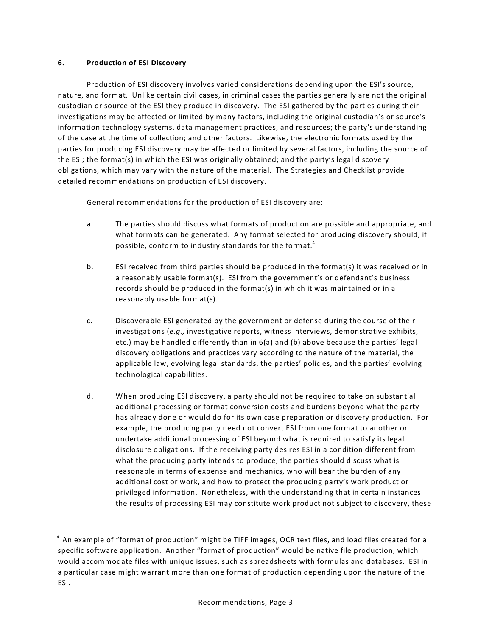### **6. Production of ESI Discovery**

Production of ESI discovery involves varied considerations depending upon the ESI's source, nature, and format. Unlike certain civil cases, in criminal cases the parties generally are not the original custodian or source of the ESI they produce in discovery. The ESI gathered by the parties during their investigations may be affected or limited by many factors, including the original custodian's or source's information technology systems, data management practices, and resources; the party's understanding of the case at the time of collection; and other factors. Likewise, the electronic formats used by the parties for producing ESI discovery may be affected or limited by several factors, including the source of the ESI; the format(s) in which the ESI was originally obtained; and the party's legal discovery obligations, which may vary with the nature of the material. The Strategies and Checklist provide detailed recommendations on production of ESI discovery.

General recommendations for the production of ESI discovery are:

- a. The parties should discuss what formats of production are possible and appropriate, and what formats can be generated. Any format selected for producing discovery should, if possible, conform to industry standards for the format.<sup>4</sup>
- b. ESI received from third parties should be produced in the format(s) it was received or in a reasonably usable format(s). ESI from the government's or defendant's business records should be produced in the format(s) in which it was maintained or in a reasonably usable format(s).
- c. Discoverable ESI generated by the government or defense during the course of their investigations (*e.g.,* investigative reports, witness interviews, demonstrative exhibits, etc.) may be handled differently than in 6(a) and (b) above because the parties' legal discovery obligations and practices vary according to the nature of the material, the applicable law, evolving legal standards, the parties' policies, and the parties' evolving technological capabilities.
- d. When producing ESI discovery, a party should not be required to take on substantial additional processing or format conversion costs and burdens beyond what the party has already done or would do for its own case preparation or discovery production. For example, the producing party need not convert ESI from one format to another or undertake additional processing of ESI beyond what is required to satisfy its legal disclosure obligations. If the receiving party desires ESI in a condition different from what the producing party intends to produce, the parties should discuss what is reasonable in terms of expense and mechanics, who will bear the burden of any additional cost or work, and how to protect the producing party's work product or privileged information. Nonetheless, with the understanding that in certain instances the results of processing ESI may constitute work product not subject to discovery, these

 $<sup>4</sup>$  An example of "format of production" might be TIFF images, OCR text files, and load files created for a</sup> specific software application. Another "format of production" would be native file production, which would accommodate files with unique issues, such as spreadsheets with formulas and databases. ESI in a particular case might warrant more than one format of production depending upon the nature of the ESI.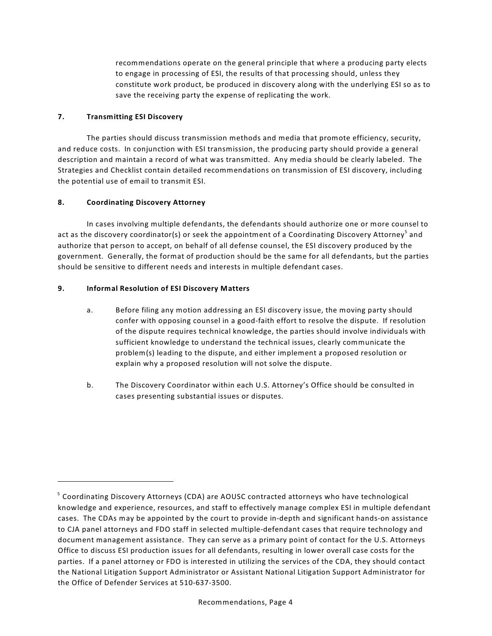recommendations operate on the general principle that where a producing party elects to engage in processing of ESI, the results of that processing should, unless they constitute work product, be produced in discovery along with the underlying ESI so as to save the receiving party the expense of replicating the work.

## **7. Transmitting ESI Discovery**

The parties should discuss transmission methods and media that promote efficiency, security, and reduce costs. In conjunction with ESI transmission, the producing party should provide a general description and maintain a record of what was transmitted. Any media should be clearly labeled. The Strategies and Checklist contain detailed recommendations on transmission of ESI discovery, including the potential use of email to transmit ESI.

## **8. Coordinating Discovery Attorney**

In cases involving multiple defendants, the defendants should authorize one or more counsel to act as the discovery coordinator(s) or seek the appointment of a Coordinating Discovery Attorney<sup>5</sup> and authorize that person to accept, on behalf of all defense counsel, the ESI discovery produced by the government. Generally, the format of production should be the same for all defendants, but the parties should be sensitive to different needs and interests in multiple defendant cases.

### **9. Informal Resolution of ESI Discovery Matters**

- a. Before filing any motion addressing an ESI discovery issue, the moving party should confer with opposing counsel in a good-faith effort to resolve the dispute. If resolution of the dispute requires technical knowledge, the parties should involve individuals with sufficient knowledge to understand the technical issues, clearly communicate the problem(s) leading to the dispute, and either implement a proposed resolution or explain why a proposed resolution will not solve the dispute.
- b. The Discovery Coordinator within each U.S. Attorney's Office should be consulted in cases presenting substantial issues or disputes.

<sup>&</sup>lt;sup>5</sup> Coordinating Discovery Attorneys (CDA) are AOUSC contracted attorneys who have technological knowledge and experience, resources, and staff to effectively manage complex ESI in multiple defendant cases. The CDAs may be appointed by the court to provide in-depth and significant hands-on assistance to CJA panel attorneys and FDO staff in selected multiple-defendant cases that require technology and document management assistance. They can serve as a primary point of contact for the U.S. Attorneys Office to discuss ESI production issues for all defendants, resulting in lower overall case costs for the parties. If a panel attorney or FDO is interested in utilizing the services of the CDA, they should contact the National Litigation Support Administrator or Assistant National Litigation Support Administrator for the Office of Defender Services at 510-637-3500.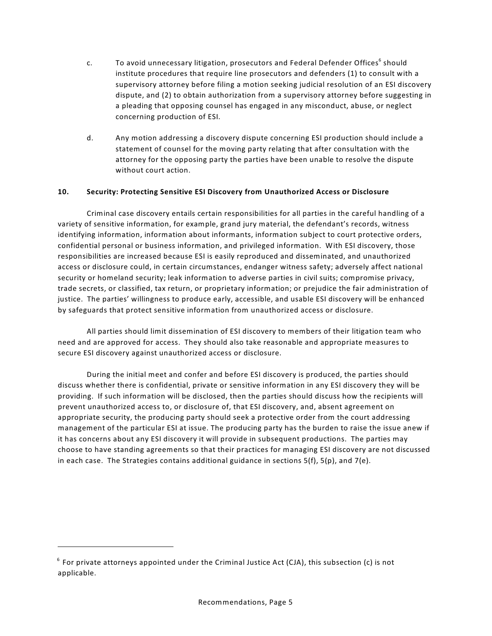- c. To avoid unnecessary litigation, prosecutors and Federal Defender Offices<sup>6</sup> should institute procedures that require line prosecutors and defenders (1) to consult with a supervisory attorney before filing a motion seeking judicial resolution of an ESI discovery dispute, and (2) to obtain authorization from a supervisory attorney before suggesting in a pleading that opposing counsel has engaged in any misconduct, abuse, or neglect concerning production of ESI.
- d. Any motion addressing a discovery dispute concerning ESI production should include a statement of counsel for the moving party relating that after consultation with the attorney for the opposing party the parties have been unable to resolve the dispute without court action.

### **10. Security: Protecting Sensitive ESI Discovery from Unauthorized Access or Disclosure**

Criminal case discovery entails certain responsibilities for all parties in the careful handling of a variety of sensitive information, for example, grand jury material, the defendant's records, witness identifying information, information about informants, information subject to court protective orders, confidential personal or business information, and privileged information. With ESI discovery, those responsibilities are increased because ESI is easily reproduced and disseminated, and unauthorized access or disclosure could, in certain circumstances, endanger witness safety; adversely affect national security or homeland security; leak information to adverse parties in civil suits; compromise privacy, trade secrets, or classified, tax return, or proprietary information; or prejudice the fair administration of justice. The parties' willingness to produce early, accessible, and usable ESI discovery will be enhanced by safeguards that protect sensitive information from unauthorized access or disclosure.

All parties should limit dissemination of ESI discovery to members of their litigation team who need and are approved for access. They should also take reasonable and appropriate measures to secure ESI discovery against unauthorized access or disclosure.

During the initial meet and confer and before ESI discovery is produced, the parties should discuss whether there is confidential, private or sensitive information in any ESI discovery they will be providing. If such information will be disclosed, then the parties should discuss how the recipients will prevent unauthorized access to, or disclosure of, that ESI discovery, and, absent agreement on appropriate security, the producing party should seek a protective order from the court addressing management of the particular ESI at issue. The producing party has the burden to raise the issue anew if it has concerns about any ESI discovery it will provide in subsequent productions. The parties may choose to have standing agreements so that their practices for managing ESI discovery are not discussed in each case. The Strategies contains additional guidance in sections  $5(f)$ ,  $5(p)$ , and  $7(e)$ .

 $6$  For private attorneys appointed under the Criminal Justice Act (CJA), this subsection (c) is not applicable.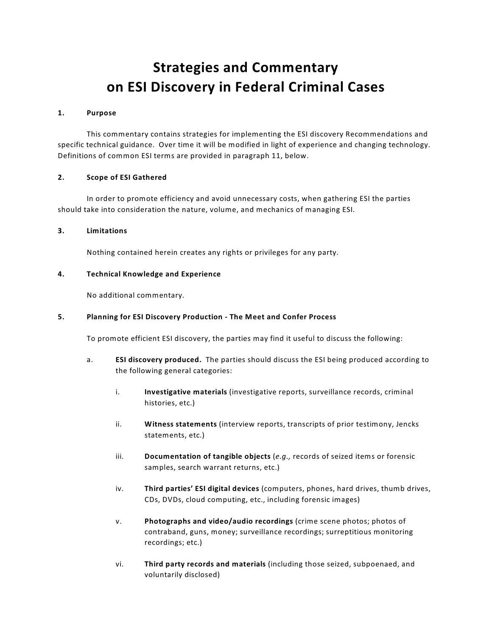## **Strategies and Commentary on ESI Discovery in Federal Criminal Cases**

#### **1. Purpose**

This commentary contains strategies for implementing the ESI discovery Recommendations and specific technical guidance. Over time it will be modified in light of experience and changing technology. Definitions of common ESI terms are provided in paragraph 11, below.

#### **2. Scope of ESI Gathered**

In order to promote efficiency and avoid unnecessary costs, when gathering ESI the parties should take into consideration the nature, volume, and mechanics of managing ESI.

#### **3. Limitations**

Nothing contained herein creates any rights or privileges for any party.

#### **4. Technical Knowledge and Experience**

No additional commentary.

#### **5. Planning for ESI Discovery Production - The Meet and Confer Process**

To promote efficient ESI discovery, the parties may find it useful to discuss the following:

- a. **ESI discovery produced.** The parties should discuss the ESI being produced according to the following general categories:
	- i. **Investigative materials** (investigative reports, surveillance records, criminal histories, etc.)
	- ii. **Witness statements** (interview reports, transcripts of prior testimony, Jencks statements, etc.)
	- iii. **Documentation of tangible objects** (*e.g.,* records of seized items or forensic samples, search warrant returns, etc.)
	- iv. **Third parties' ESI digital devices** (computers, phones, hard drives, thumb drives, CDs, DVDs, cloud computing, etc., including forensic images)
	- v. **Photographs and video/audio recordings** (crime scene photos; photos of contraband, guns, money; surveillance recordings; surreptitious monitoring recordings; etc.)
	- vi. **Third party records and materials** (including those seized, subpoenaed, and voluntarily disclosed)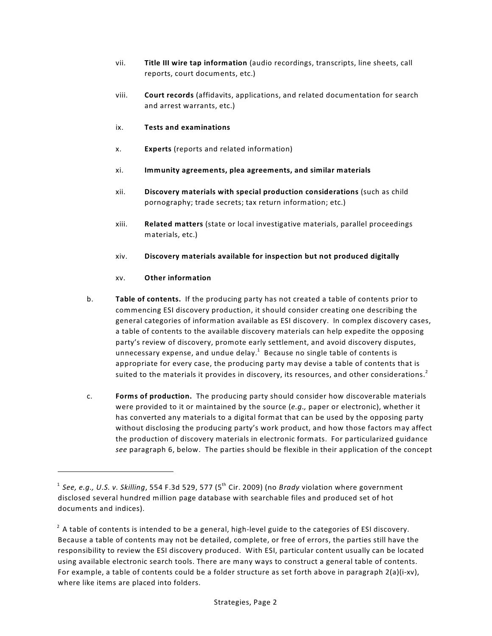- vii. **Title III wire tap information** (audio recordings, transcripts, line sheets, call reports, court documents, etc.)
- viii. **Court records** (affidavits, applications, and related documentation for search and arrest warrants, etc.)
- ix. **Tests and examinations**
- x. **Experts** (reports and related information)
- xi. **Immunity agreements, plea agreements, and similar materials**
- xii. **Discovery materials with special production considerations** (such as child pornography; trade secrets; tax return information; etc.)
- xiii. **Related matters** (state or local investigative materials, parallel proceedings materials, etc.)
- xiv. **Discovery materials available for inspection but not produced digitally**

## xv. **Other information**

- b. **Table of contents.** If the producing party has not created a table of contents prior to commencing ESI discovery production, it should consider creating one describing the general categories of information available as ESI discovery. In complex discovery cases, a table of contents to the available discovery materials can help expedite the opposing party's review of discovery, promote early settlement, and avoid discovery disputes, unnecessary expense, and undue delay.<sup>1</sup> Because no single table of contents is appropriate for every case, the producing party may devise a table of contents that is suited to the materials it provides in discovery, its resources, and other considerations.<sup>2</sup>
- c. **Forms of production.** The producing party should consider how discoverable materials were provided to it or maintained by the source (*e.g.,* paper or electronic), whether it has converted any materials to a digital format that can be used by the opposing party without disclosing the producing party's work product, and how those factors may affect the production of discovery materials in electronic formats. For particularized guidance *see* paragraph 6, below. The parties should be flexible in their application of the concept

<sup>&</sup>lt;sup>1</sup> See, e.g., U.S. v. Skilling, 554 F.3d 529, 577 (5<sup>th</sup> Cir. 2009) (no *Brady* violation where government disclosed several hundred million page database with searchable files and produced set of hot documents and indices).

 $2$  A table of contents is intended to be a general, high-level guide to the categories of ESI discovery. Because a table of contents may not be detailed, complete, or free of errors, the parties still have the responsibility to review the ESI discovery produced. With ESI, particular content usually can be located using available electronic search tools. There are many ways to construct a general table of contents. For example, a table of contents could be a folder structure as set forth above in paragraph 2(a)(i-xv), where like items are placed into folders.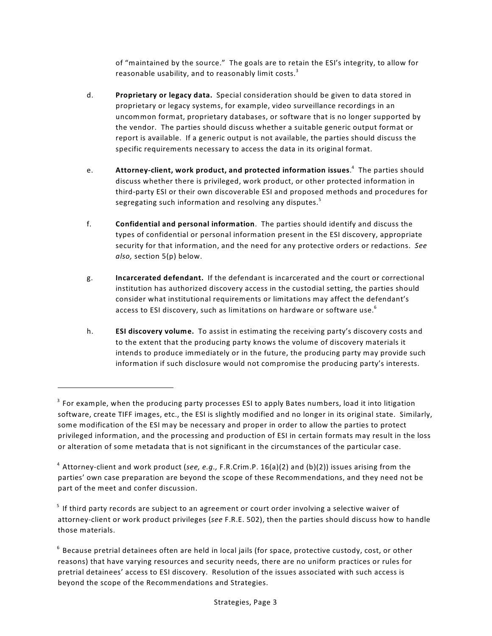of "maintained by the source." The goals are to retain the ESI's integrity, to allow for reasonable usability, and to reasonably limit costs.<sup>3</sup>

- d. **Proprietary or legacy data.** Special consideration should be given to data stored in proprietary or legacy systems, for example, video surveillance recordings in an uncommon format, proprietary databases, or software that is no longer supported by the vendor. The parties should discuss whether a suitable generic output format or report is available. If a generic output is not available, the parties should discuss the specific requirements necessary to access the data in its original format.
- e. **Attorney-client, work product, and protected information issues**. The parties should <sup>4</sup> discuss whether there is privileged, work product, or other protected information in third-party ESI or their own discoverable ESI and proposed methods and procedures for segregating such information and resolving any disputes.<sup>5</sup>
- f. **Confidential and personal information**. The parties should identify and discuss the types of confidential or personal information present in the ESI discovery, appropriate security for that information, and the need for any protective orders or redactions. *See also,* section 5(p) below.
- g. **Incarcerated defendant.** If the defendant is incarcerated and the court or correctional institution has authorized discovery access in the custodial setting, the parties should consider what institutional requirements or limitations may affect the defendant's access to ESI discovery, such as limitations on hardware or software use. $^6$
- h. **ESI discovery volume.** To assist in estimating the receiving party's discovery costs and to the extent that the producing party knows the volume of discovery materials it intends to produce immediately or in the future, the producing party may provide such information if such disclosure would not compromise the producing party's interests.

 $3$  For example, when the producing party processes ESI to apply Bates numbers, load it into litigation software, create TIFF images, etc., the ESI is slightly modified and no longer in its original state. Similarly, some modification of the ESI may be necessary and proper in order to allow the parties to protect privileged information, and the processing and production of ESI in certain formats may result in the loss or alteration of some metadata that is not significant in the circumstances of the particular case.

<sup>&</sup>lt;sup>4</sup> Attorney-client and work product (*see, e.g.,* F.R.Crim.P. 16(a)(2) and (b)(2)) issues arising from the parties' own case preparation are beyond the scope of these Recommendations, and they need not be part of the meet and confer discussion.

<sup>&</sup>lt;sup>5</sup> If third party records are subject to an agreement or court order involving a selective waiver of attorney-client or work product privileges (*see* F.R.E. 502), then the parties should discuss how to handle those materials.

 $6$  Because pretrial detainees often are held in local jails (for space, protective custody, cost, or other reasons) that have varying resources and security needs, there are no uniform practices or rules for pretrial detainees' access to ESI discovery. Resolution of the issues associated with such access is beyond the scope of the Recommendations and Strategies.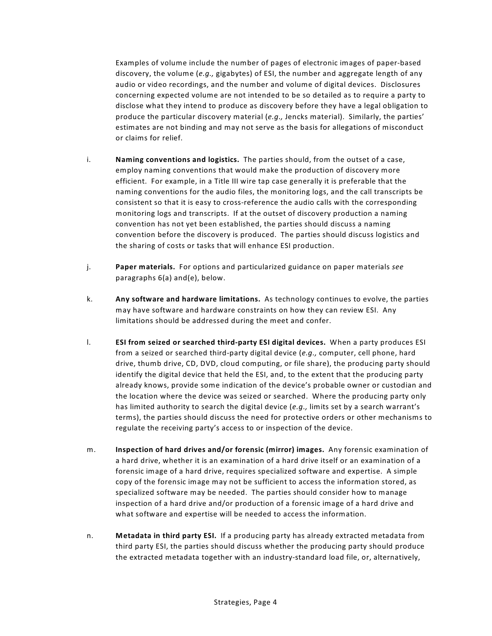Examples of volume include the number of pages of electronic images of paper-based discovery, the volume (*e.g.,* gigabytes) of ESI, the number and aggregate length of any audio or video recordings, and the number and volume of digital devices. Disclosures concerning expected volume are not intended to be so detailed as to require a party to disclose what they intend to produce as discovery before they have a legal obligation to produce the particular discovery material (*e.g.,* Jencks material). Similarly, the parties' estimates are not binding and may not serve as the basis for allegations of misconduct or claims for relief.

- i. **Naming conventions and logistics.** The parties should, from the outset of a case, employ naming conventions that would make the production of discovery more efficient. For example, in a Title III wire tap case generally it is preferable that the naming conventions for the audio files, the monitoring logs, and the call transcripts be consistent so that it is easy to cross-reference the audio calls with the corresponding monitoring logs and transcripts. If at the outset of discovery production a naming convention has not yet been established, the parties should discuss a naming convention before the discovery is produced. The parties should discuss logistics and the sharing of costs or tasks that will enhance ESI production.
- j. **Paper materials.** For options and particularized guidance on paper materials *see* paragraphs 6(a) and(e), below.
- k. **Any software and hardware limitations.** As technology continues to evolve, the parties may have software and hardware constraints on how they can review ESI. Any limitations should be addressed during the meet and confer.
- l. **ESI from seized or searched third-party ESI digital devices.** When a party produces ESI from a seized or searched third-party digital device (*e.g.,* computer, cell phone, hard drive, thumb drive, CD, DVD, cloud computing, or file share), the producing party should identify the digital device that held the ESI, and, to the extent that the producing party already knows, provide some indication of the device's probable owner or custodian and the location where the device was seized or searched. Where the producing party only has limited authority to search the digital device (*e.g.,* limits set by a search warrant's terms), the parties should discuss the need for protective orders or other mechanisms to regulate the receiving party's access to or inspection of the device.
- m. **Inspection of hard drives and/or forensic (mirror) images.** Any forensic examination of a hard drive, whether it is an examination of a hard drive itself or an examination of a forensic image of a hard drive, requires specialized software and expertise. A simple copy of the forensic image may not be sufficient to access the information stored, as specialized software may be needed. The parties should consider how to manage inspection of a hard drive and/or production of a forensic image of a hard drive and what software and expertise will be needed to access the information.
- n. **Metadata in third party ESI.** If a producing party has already extracted metadata from third party ESI, the parties should discuss whether the producing party should produce the extracted metadata together with an industry-standard load file, or, alternatively,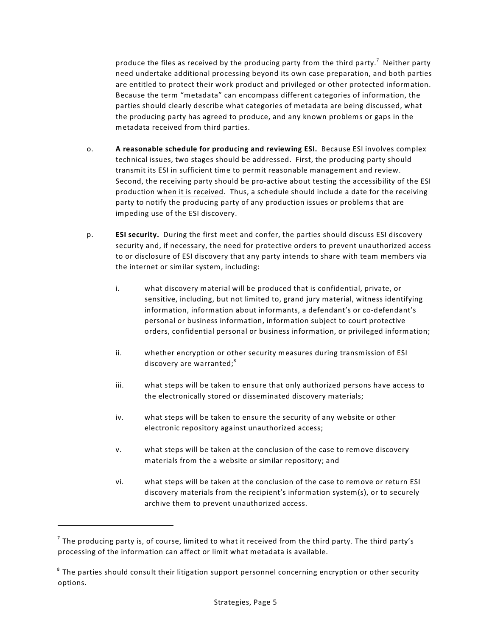produce the files as received by the producing party from the third party.<sup>7</sup> Neither party need undertake additional processing beyond its own case preparation, and both parties are entitled to protect their work product and privileged or other protected information. Because the term "metadata" can encompass different categories of information, the parties should clearly describe what categories of metadata are being discussed, what the producing party has agreed to produce, and any known problems or gaps in the metadata received from third parties.

- o. **A reasonable schedule for producing and reviewing ESI.** Because ESI involves complex technical issues, two stages should be addressed. First, the producing party should transmit its ESI in sufficient time to permit reasonable management and review. Second, the receiving party should be pro-active about testing the accessibility of the ESI production when it is received. Thus, a schedule should include a date for the receiving party to notify the producing party of any production issues or problems that are impeding use of the ESI discovery.
- p. **ESI security.** During the first meet and confer, the parties should discuss ESI discovery security and, if necessary, the need for protective orders to prevent unauthorized access to or disclosure of ESI discovery that any party intends to share with team members via the internet or similar system, including:
	- i. what discovery material will be produced that is confidential, private, or sensitive, including, but not limited to, grand jury material, witness identifying information, information about informants, a defendant's or co-defendant's personal or business information, information subject to court protective orders, confidential personal or business information, or privileged information;
	- ii. whether encryption or other security measures during transmission of ESI discovery are warranted;<sup>8</sup>
	- iii. what steps will be taken to ensure that only authorized persons have access to the electronically stored or disseminated discovery materials;
	- iv. what steps will be taken to ensure the security of any website or other electronic repository against unauthorized access;
	- v. what steps will be taken at the conclusion of the case to remove discovery materials from the a website or similar repository; and
	- vi. what steps will be taken at the conclusion of the case to remove or return ESI discovery materials from the recipient's information system(s), or to securely archive them to prevent unauthorized access.

 $^\prime$  The producing party is, of course, limited to what it received from the third party. The third party's  $^\prime$ processing of the information can affect or limit what metadata is available.

 $8$  The parties should consult their litigation support personnel concerning encryption or other security options.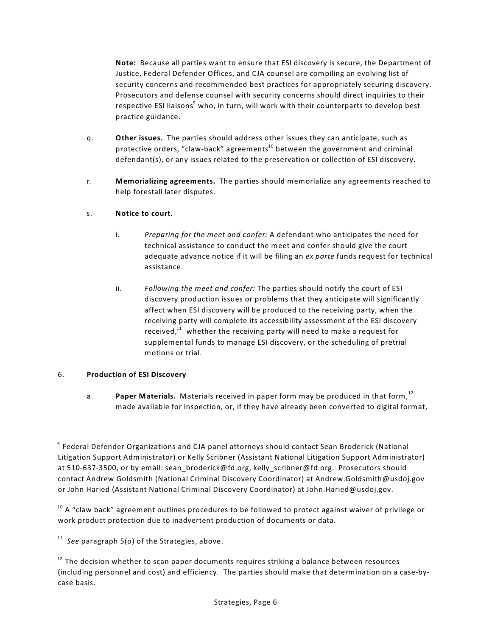**Note:** Because all parties want to ensure that ESI discovery is secure, the Department of Justice, Federal Defender Offices, and CJA counsel are compiling an evolving list of security concerns and recommended best practices for appropriately securing discovery. Prosecutors and defense counsel with security concerns should direct inquiries to their respective ESI liaisons<sup>9</sup> who, in turn, will work with their counterparts to develop best practice guidance.

- q. **Other issues.** The parties should address other issues they can anticipate, such as protective orders, "claw-back" agreements $^{10}$  between the government and criminal defendant(s), or any issues related to the preservation or collection of ESI discovery.
- r. **Memorializing agreements.** The parties should memorialize any agreements reached to help forestall later disputes.
- s. **Notice to court.**
	- i. *Preparing for the meet and confer:* A defendant who anticipates the need for technical assistance to conduct the meet and confer should give the court adequate advance notice if it will be filing an *ex parte* funds request for technical assistance.
	- ii. *Following the meet and confer:* The parties should notify the court of ESI discovery production issues or problems that they anticipate will significantly affect when ESI discovery will be produced to the receiving party, when the receiving party will complete its accessibility assessment of the ESI discovery received, $11$  whether the receiving party will need to make a request for supplemental funds to manage ESI discovery, or the scheduling of pretrial motions or trial.

#### 6. **Production of ESI Discovery**

a. **Paper Materials.** Materials received in paper form may be produced in that form,<sup>12</sup> made available for inspection, or, if they have already been converted to digital format,

 $10$  A "claw back" agreement outlines procedures to be followed to protect against waiver of privilege or work product protection due to inadvertent production of documents or data.

 $^9$  Federal Defender Organizations and CJA panel attorneys should contact Sean Broderick (National Litigation Support Administrator) or Kelly Scribner (Assistant National Litigation Support Administrator) at 510-637-3500, or by email: sean\_broderick@fd.org, kelly\_scribner@fd.org. Prosecutors should contact Andrew Goldsmith (National Criminal Discovery Coordinator) at Andrew.Goldsmith@usdoj.gov or John Haried (Assistant National Criminal Discovery Coordinator) at John.Haried@usdoj.gov.

<sup>&</sup>lt;sup>11</sup> See paragraph 5(o) of the Strategies, above.

 $12$  The decision whether to scan paper documents requires striking a balance between resources (including personnel and cost) and efficiency. The parties should make that determination on a case-bycase basis.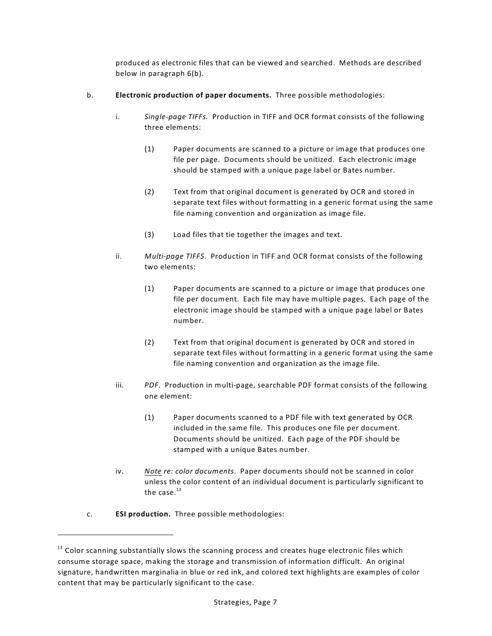produced as electronic files that can be viewed and searched. Methods are described below in paragraph 6(b).

- b. **Electronic production of paper documents.** Three possible methodologies:
	- i. *Single-page TIFFs.* Production in TIFF and OCR format consists of the following three elements:
		- (1) Paper documents are scanned to a picture or image that produces one file per page. Documents should be unitized. Each electronic image should be stamped with a unique page label or Bates number.
		- (2) Text from that original document is generated by OCR and stored in separate text files without formatting in a generic format using the same file naming convention and organization as image file.
		- (3) Load files that tie together the images and text.
	- ii. *Multi-page TIFFS.* Production in TIFF and OCR format consists of the following two elements:
		- (1) Paper documents are scanned to a picture or image that produces one file per document. Each file may have multiple pages. Each page of the electronic image should be stamped with a unique page label or Bates number.
		- (2) Text from that original document is generated by OCR and stored in separate text files without formatting in a generic format using the same file naming convention and organization as the image file.
	- iii. *PDF*. Production in multi-page, searchable PDF format consists of the following one element:
		- (1) Paper documents scanned to a PDF file with text generated by OCR included in the same file. This produces one file per document. Documents should be unitized. Each page of the PDF should be stamped with a unique Bates number.
	- iv. *Note re: color documents*. Paper documents should not be scanned in color unless the color content of an individual document is particularly significant to the case. $13$
- c. **ESI production.** Three possible methodologies:

 $13$  Color scanning substantially slows the scanning process and creates huge electronic files which consume storage space, making the storage and transmission of information difficult. An original signature, handwritten marginalia in blue or red ink, and colored text highlights are examples of color content that may be particularly significant to the case.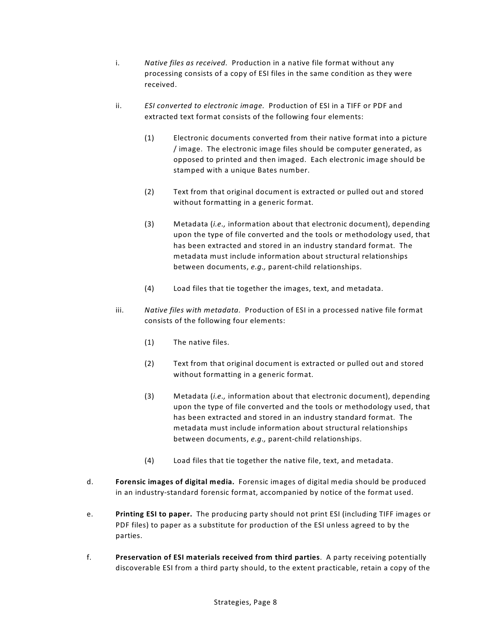- i. *Native files as received.* Production in a native file format without any processing consists of a copy of ESI files in the same condition as they were received.
- ii. *ESI converted to electronic image.* Production of ESI in a TIFF or PDF and extracted text format consists of the following four elements:
	- (1) Electronic documents converted from their native format into a picture / image. The electronic image files should be computer generated, as opposed to printed and then imaged. Each electronic image should be stamped with a unique Bates number.
	- (2) Text from that original document is extracted or pulled out and stored without formatting in a generic format.
	- (3) Metadata (*i.e.,* information about that electronic document), depending upon the type of file converted and the tools or methodology used, that has been extracted and stored in an industry standard format. The metadata must include information about structural relationships between documents, *e.g.,* parent-child relationships.
	- (4) Load files that tie together the images, text, and metadata.
- iii. *Native files with metadata.* Production of ESI in a processed native file format consists of the following four elements:
	- (1) The native files.
	- (2) Text from that original document is extracted or pulled out and stored without formatting in a generic format.
	- (3) Metadata (*i.e.,* information about that electronic document), depending upon the type of file converted and the tools or methodology used, that has been extracted and stored in an industry standard format. The metadata must include information about structural relationships between documents, *e.g.,* parent-child relationships.
	- (4) Load files that tie together the native file, text, and metadata.
- d. **Forensic images of digital media.** Forensic images of digital media should be produced in an industry-standard forensic format, accompanied by notice of the format used.
- e. **Printing ESI to paper.** The producing party should not print ESI (including TIFF images or PDF files) to paper as a substitute for production of the ESI unless agreed to by the parties.
- f. **Preservation of ESI materials received from third parties**. A party receiving potentially discoverable ESI from a third party should, to the extent practicable, retain a copy of the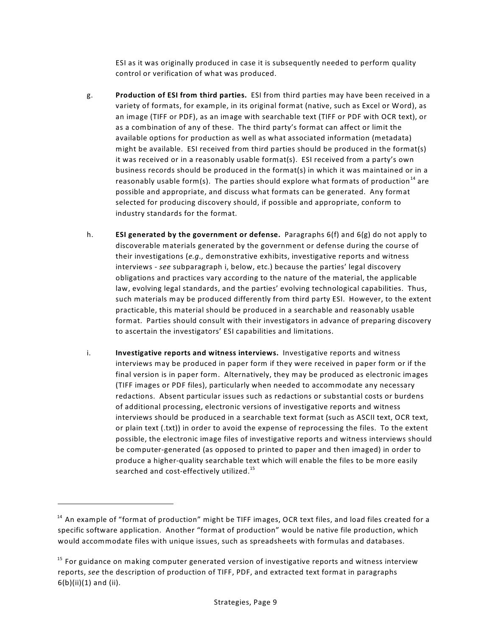ESI as it was originally produced in case it is subsequently needed to perform quality control or verification of what was produced.

- g. **Production of ESI from third parties.** ESI from third parties may have been received in a variety of formats, for example, in its original format (native, such as Excel or Word), as an image (TIFF or PDF), as an image with searchable text (TIFF or PDF with OCR text), or as a combination of any of these. The third party's format can affect or limit the available options for production as well as what associated information (metadata) might be available. ESI received from third parties should be produced in the format(s) it was received or in a reasonably usable format(s). ESI received from a party's own business records should be produced in the format(s) in which it was maintained or in a reasonably usable form(s). The parties should explore what formats of production<sup>14</sup> are possible and appropriate, and discuss what formats can be generated. Any format selected for producing discovery should, if possible and appropriate, conform to industry standards for the format.
- h. **ESI generated by the government or defense.** Paragraphs 6(f) and 6(g) do not apply to discoverable materials generated by the government or defense during the course of their investigations (*e.g.,* demonstrative exhibits, investigative reports and witness interviews - *see* subparagraph i, below, etc.) because the parties' legal discovery obligations and practices vary according to the nature of the material, the applicable law, evolving legal standards, and the parties' evolving technological capabilities. Thus, such materials may be produced differently from third party ESI. However, to the extent practicable, this material should be produced in a searchable and reasonably usable format. Parties should consult with their investigators in advance of preparing discovery to ascertain the investigators' ESI capabilities and limitations.
- i. **Investigative reports and witness interviews.** Investigative reports and witness interviews may be produced in paper form if they were received in paper form or if the final version is in paper form. Alternatively, they may be produced as electronic images (TIFF images or PDF files), particularly when needed to accommodate any necessary redactions. Absent particular issues such as redactions or substantial costs or burdens of additional processing, electronic versions of investigative reports and witness interviews should be produced in a searchable text format (such as ASCII text, OCR text, or plain text (.txt)) in order to avoid the expense of reprocessing the files. To the extent possible, the electronic image files of investigative reports and witness interviews should be computer-generated (as opposed to printed to paper and then imaged) in order to produce a higher-quality searchable text which will enable the files to be more easily searched and cost-effectively utilized.<sup>15</sup>

 $14$  An example of "format of production" might be TIFF images, OCR text files, and load files created for a specific software application. Another "format of production" would be native file production, which would accommodate files with unique issues, such as spreadsheets with formulas and databases.

 $15$  For guidance on making computer generated version of investigative reports and witness interview reports, *see* the description of production of TIFF, PDF, and extracted text format in paragraphs 6(b)(ii)(1) and (ii).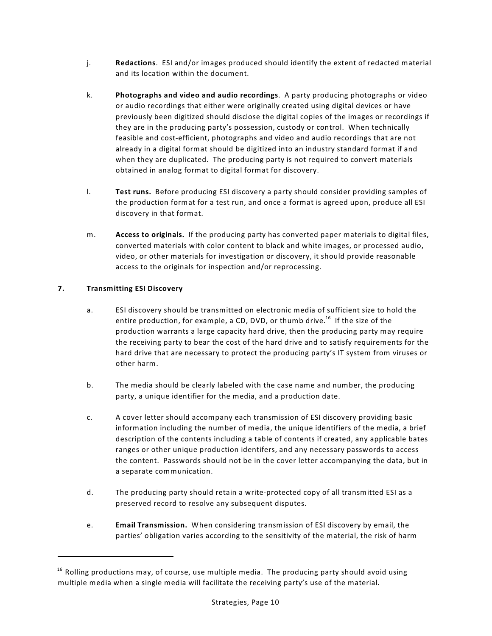- j. **Redactions**. ESI and/or images produced should identify the extent of redacted material and its location within the document.
- k. **Photographs and video and audio recordings**. A party producing photographs or video or audio recordings that either were originally created using digital devices or have previously been digitized should disclose the digital copies of the images or recordings if they are in the producing party's possession, custody or control. When technically feasible and cost-efficient, photographs and video and audio recordings that are not already in a digital format should be digitized into an industry standard format if and when they are duplicated. The producing party is not required to convert materials obtained in analog format to digital format for discovery.
- l. **Test runs.** Before producing ESI discovery a party should consider providing samples of the production format for a test run, and once a format is agreed upon, produce all ESI discovery in that format.
- m. **Access to originals.** If the producing party has converted paper materials to digital files, converted materials with color content to black and white images, or processed audio, video, or other materials for investigation or discovery, it should provide reasonable access to the originals for inspection and/or reprocessing.

## **7. Transmitting ESI Discovery**

- a. ESI discovery should be transmitted on electronic media of sufficient size to hold the entire production, for example, a CD, DVD, or thumb drive.<sup>16</sup> If the size of the production warrants a large capacity hard drive, then the producing party may require the receiving party to bear the cost of the hard drive and to satisfy requirements for the hard drive that are necessary to protect the producing party's IT system from viruses or other harm.
- b. The media should be clearly labeled with the case name and number, the producing party, a unique identifier for the media, and a production date.
- c. A cover letter should accompany each transmission of ESI discovery providing basic information including the number of media, the unique identifiers of the media, a brief description of the contents including a table of contents if created, any applicable bates ranges or other unique production identifers, and any necessary passwords to access the content. Passwords should not be in the cover letter accompanying the data, but in a separate communication.
- d. The producing party should retain a write-protected copy of all transmitted ESI as a preserved record to resolve any subsequent disputes.
- e. **Email Transmission.** When considering transmission of ESI discovery by email, the parties' obligation varies according to the sensitivity of the material, the risk of harm

 $16$  Rolling productions may, of course, use multiple media. The producing party should avoid using multiple media when a single media will facilitate the receiving party's use of the material.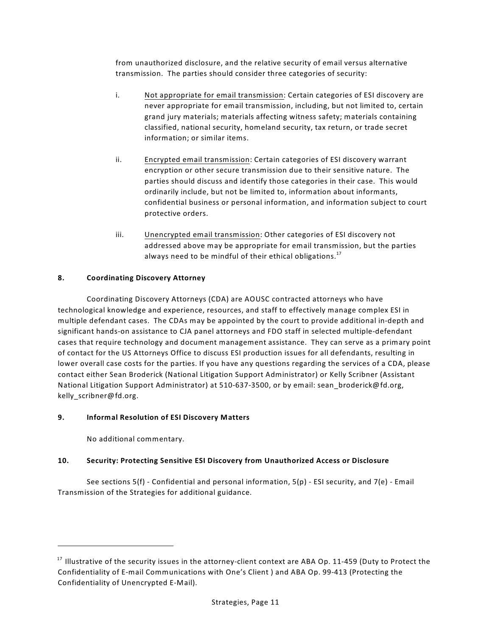from unauthorized disclosure, and the relative security of email versus alternative transmission. The parties should consider three categories of security:

- i. Not appropriate for email transmission: Certain categories of ESI discovery are never appropriate for email transmission, including, but not limited to, certain grand jury materials; materials affecting witness safety; materials containing classified, national security, homeland security, tax return, or trade secret information; or similar items.
- ii. Encrypted email transmission: Certain categories of ESI discovery warrant encryption or other secure transmission due to their sensitive nature. The parties should discuss and identify those categories in their case. This would ordinarily include, but not be limited to, information about informants, confidential business or personal information, and information subject to court protective orders.
- iii. Unencrypted email transmission: Other categories of ESI discovery not addressed above may be appropriate for email transmission, but the parties always need to be mindful of their ethical obligations.<sup>17</sup>

## **8. Coordinating Discovery Attorney**

Coordinating Discovery Attorneys (CDA) are AOUSC contracted attorneys who have technological knowledge and experience, resources, and staff to effectively manage complex ESI in multiple defendant cases. The CDAs may be appointed by the court to provide additional in-depth and significant hands-on assistance to CJA panel attorneys and FDO staff in selected multiple-defendant cases that require technology and document management assistance. They can serve as a primary point of contact for the US Attorneys Office to discuss ESI production issues for all defendants, resulting in lower overall case costs for the parties. If you have any questions regarding the services of a CDA, please contact either Sean Broderick (National Litigation Support Administrator) or Kelly Scribner (Assistant National Litigation Support Administrator) at 510-637-3500, or by email: sean broderick@fd.org, kelly\_scribner@fd.org.

## **9. Informal Resolution of ESI Discovery Matters**

No additional commentary.

## **10. Security: Protecting Sensitive ESI Discovery from Unauthorized Access or Disclosure**

See sections 5(f) - Confidential and personal information, 5(p) - ESI security, and 7(e) - Email Transmission of the Strategies for additional guidance.

 $17$  Illustrative of the security issues in the attorney-client context are ABA Op. 11-459 (Duty to Protect the Confidentiality of E-mail Communications with One's Client ) and ABA Op. 99-413 (Protecting the Confidentiality of Unencrypted E-Mail).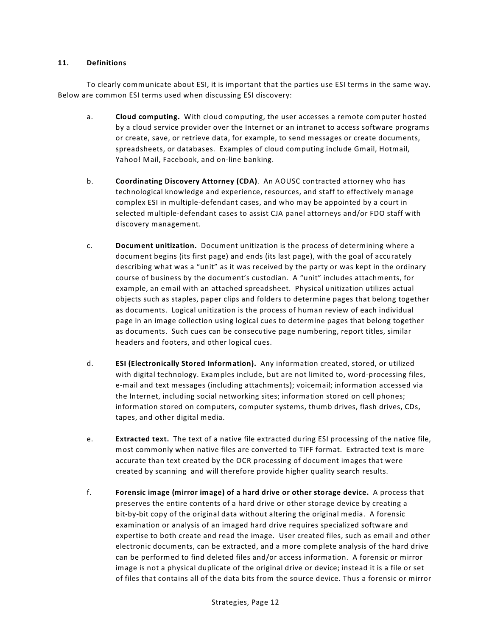#### **11. Definitions**

To clearly communicate about ESI, it is important that the parties use ESI terms in the same way. Below are common ESI terms used when discussing ESI discovery:

- a. **Cloud computing.** With cloud computing, the user accesses a remote computer hosted by a cloud service provider over the Internet or an intranet to access software programs or create, save, or retrieve data, for example, to send messages or create documents, spreadsheets, or databases. Examples of cloud computing include Gmail, Hotmail, Yahoo! Mail, Facebook, and on-line banking.
- b. **Coordinating Discovery Attorney (CDA)**. An AOUSC contracted attorney who has technological knowledge and experience, resources, and staff to effectively manage complex ESI in multiple-defendant cases, and who may be appointed by a court in selected multiple-defendant cases to assist CJA panel attorneys and/or FDO staff with discovery management.
- c. **Document unitization.** Document unitization is the process of determining where a document begins (its first page) and ends (its last page), with the goal of accurately describing what was a "unit" as it was received by the party or was kept in the ordinary course of business by the document's custodian. A "unit" includes attachments, for example, an email with an attached spreadsheet. Physical unitization utilizes actual objects such as staples, paper clips and folders to determine pages that belong together as documents. Logical unitization is the process of human review of each individual page in an image collection using logical cues to determine pages that belong together as documents. Such cues can be consecutive page numbering, report titles, similar headers and footers, and other logical cues.
- d. **ESI (Electronically Stored Information).** Any information created, stored, or utilized with digital technology. Examples include, but are not limited to, word-processing files, e-mail and text messages (including attachments); voicemail; information accessed via the Internet, including social networking sites; information stored on cell phones; information stored on computers, computer systems, thumb drives, flash drives, CDs, tapes, and other digital media.
- e. **Extracted text.** The text of a native file extracted during ESI processing of the native file, most commonly when native files are converted to TIFF format. Extracted text is more accurate than text created by the OCR processing of document images that were created by scanning and will therefore provide higher quality search results.
- f. **Forensic image (mirror image) of a hard drive or other storage device.** A process that preserves the entire contents of a hard drive or other storage device by creating a bit-by-bit copy of the original data without altering the original media. A forensic examination or analysis of an imaged hard drive requires specialized software and expertise to both create and read the image. User created files, such as email and other electronic documents, can be extracted, and a more complete analysis of the hard drive can be performed to find deleted files and/or access information. A forensic or mirror image is not a physical duplicate of the original drive or device; instead it is a file or set of files that contains all of the data bits from the source device. Thus a forensic or mirror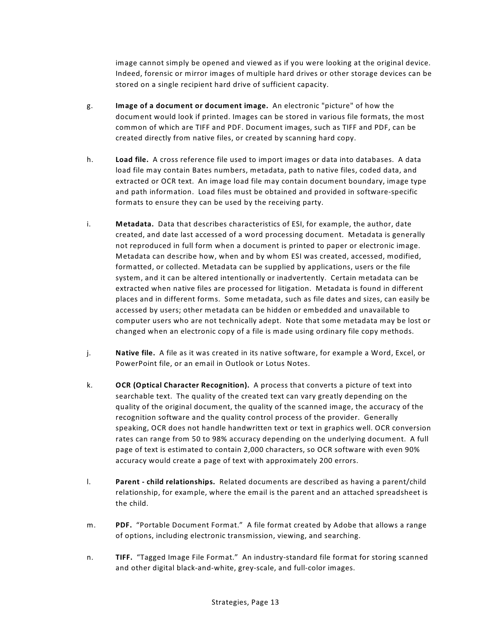image cannot simply be opened and viewed as if you were looking at the original device. Indeed, forensic or mirror images of multiple hard drives or other storage devices can be stored on a single recipient hard drive of sufficient capacity.

- g. **Image of a document or document image.** An electronic "picture" of how the document would look if printed. Images can be stored in various file formats, the most common of which are TIFF and PDF. Document images, such as TIFF and PDF, can be created directly from native files, or created by scanning hard copy.
- h. **Load file.** A cross reference file used to import images or data into databases. A data load file may contain Bates numbers, metadata, path to native files, coded data, and extracted or OCR text. An image load file may contain document boundary, image type and path information. Load files must be obtained and provided in software-specific formats to ensure they can be used by the receiving party.
- i. **Metadata.** Data that describes characteristics of ESI, for example, the author, date created, and date last accessed of a word processing document. Metadata is generally not reproduced in full form when a document is printed to paper or electronic image. Metadata can describe how, when and by whom ESI was created, accessed, modified, formatted, or collected. Metadata can be supplied by applications, users or the file system, and it can be altered intentionally or inadvertently. Certain metadata can be extracted when native files are processed for litigation. Metadata is found in different places and in different forms. Some metadata, such as file dates and sizes, can easily be accessed by users; other metadata can be hidden or embedded and unavailable to computer users who are not technically adept. Note that some metadata may be lost or changed when an electronic copy of a file is made using ordinary file copy methods.
- j. **Native file.** A file as it was created in its native software, for example a Word, Excel, or PowerPoint file, or an email in Outlook or Lotus Notes.
- k. **OCR (Optical Character Recognition).** A process that converts a picture of text into searchable text. The quality of the created text can vary greatly depending on the quality of the original document, the quality of the scanned image, the accuracy of the recognition software and the quality control process of the provider. Generally speaking, OCR does not handle handwritten text or text in graphics well. OCR conversion rates can range from 50 to 98% accuracy depending on the underlying document. A full page of text is estimated to contain 2,000 characters, so OCR software with even 90% accuracy would create a page of text with approximately 200 errors.
- l. **Parent child relationships.** Related documents are described as having a parent/child relationship, for example, where the email is the parent and an attached spreadsheet is the child.
- m. **PDF.** "Portable Document Format." A file format created by Adobe that allows a range of options, including electronic transmission, viewing, and searching.
- n. **TIFF.** "Tagged Image File Format." An industry-standard file format for storing scanned and other digital black-and-white, grey-scale, and full-color images.